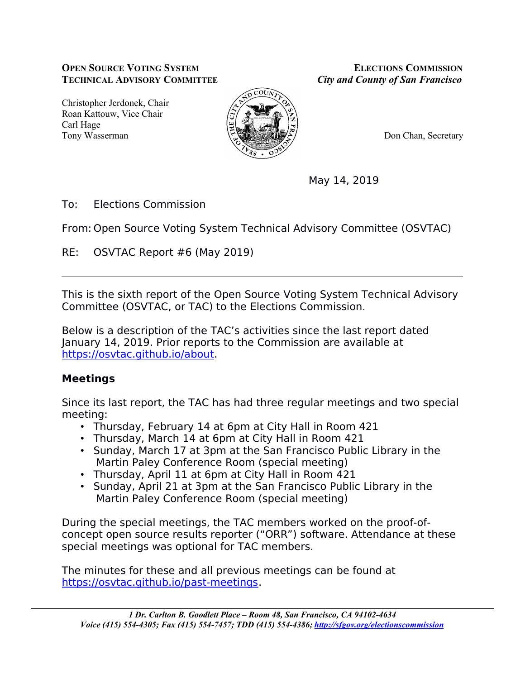#### **OPEN SOURCE VOTING SYSTEM ELECTIONS COMMISSION TECHNICAL ADVISORY COMMITTEE** *City and County of San Francisco*

Christopher Jerdonek, Chair Roan Kattouw, Vice Chair Carl Hage Tony Wasserman **Don Chan, Secretary Don Chan, Secretary** 



May 14, 2019

To: Elections Commission

From: Open Source Voting System Technical Advisory Committee (OSVTAC)

RE: OSVTAC Report #6 (May 2019)

This is the sixth report of the Open Source Voting System Technical Advisory Committee (OSVTAC, or TAC) to the Elections Commission.

Below is a description of the TAC's activities since the last report dated January 14, 2019. Prior reports to the Commission are available at https://osvtac.github.io/about.

# **Meetings**

Since its last report, the TAC has had three regular meetings and two special meeting:

- Thursday, February 14 at 6pm at City Hall in Room 421
- Thursday, March 14 at 6pm at City Hall in Room 421
- Sunday, March 17 at 3pm at the San Francisco Public Library in the Martin Paley Conference Room (special meeting)
- Thursday, April 11 at 6pm at City Hall in Room 421
- Sunday, April 21 at 3pm at the San Francisco Public Library in the Martin Paley Conference Room (special meeting)

During the special meetings, the TAC members worked on the proof-ofconcept open source results reporter ("ORR") software. Attendance at these special meetings was optional for TAC members.

The minutes for these and all previous meetings can be found at https://osvtac.github.io/past-meetings.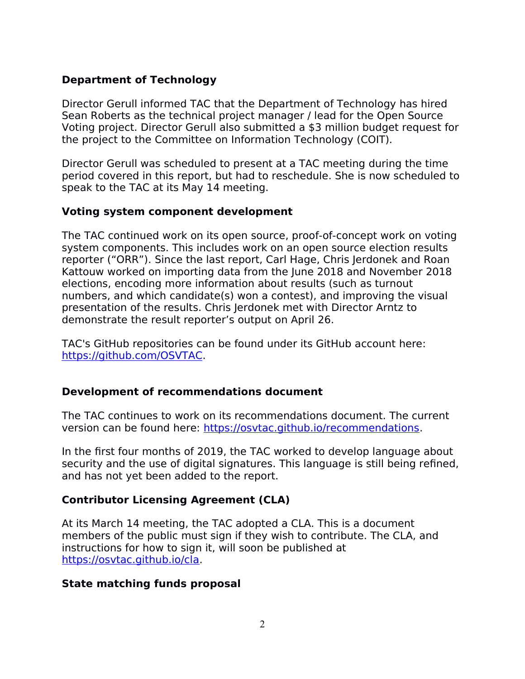# **Department of Technology**

Director Gerull informed TAC that the Department of Technology has hired Sean Roberts as the technical project manager / lead for the Open Source Voting project. Director Gerull also submitted a \$3 million budget request for the project to the Committee on Information Technology (COIT).

Director Gerull was scheduled to present at a TAC meeting during the time period covered in this report, but had to reschedule. She is now scheduled to speak to the TAC at its May 14 meeting.

#### **Voting system component development**

The TAC continued work on its open source, proof-of-concept work on voting system components. This includes work on an open source election results reporter ("ORR"). Since the last report, Carl Hage, Chris Jerdonek and Roan Kattouw worked on importing data from the June 2018 and November 2018 elections, encoding more information about results (such as turnout numbers, and which candidate(s) won a contest), and improving the visual presentation of the results. Chris Jerdonek met with Director Arntz to demonstrate the result reporter's output on April 26.

TAC's GitHub repositories can be found under its GitHub account here: https://github.com/OSVTAC.

# **Development of recommendations document**

The TAC continues to work on its recommendations document. The current version can be found here: https://osvtac.github.io/recommendations.

In the first four months of 2019, the TAC worked to develop language about security and the use of digital signatures. This language is still being refined, and has not yet been added to the report.

# **Contributor Licensing Agreement (CLA)**

At its March 14 meeting, the TAC adopted a CLA. This is a document members of the public must sign if they wish to contribute. The CLA, and instructions for how to sign it, will soon be published at https://osvtac.github.io/cla.

#### **State matching funds proposal**